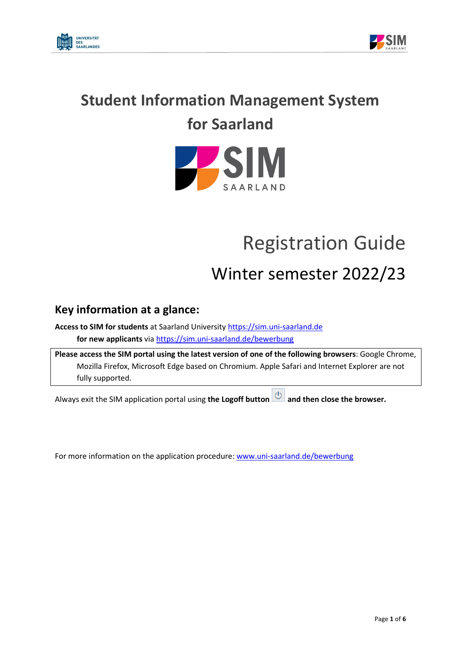



## **Student Information Management System for Saarland**



# Registration Guide

## Winter semester 2022/23

## **Key information at a glance:**

**Access to SIM for students** at Saarland University [https://sim.uni-saarland.de](https://sim.uni-saarland.de/) **for new applicants** vi[a https://sim.uni-saarland.de/bewerbung](https://sim.uni-saarland.de/bewerbung)

**Please access the SIM portal using the latest version of one of the following browsers**: Google Chrome, Mozilla Firefox, Microsoft Edge based on Chromium. Apple Safari and Internet Explorer are not fully supported.

Always exit the SIM application portal using **the Logoff button and then close the browser.**

For more information on the application procedure[: www.uni-saarland.de/bewerbung](http://www.uni-saarland.de/bewerbung)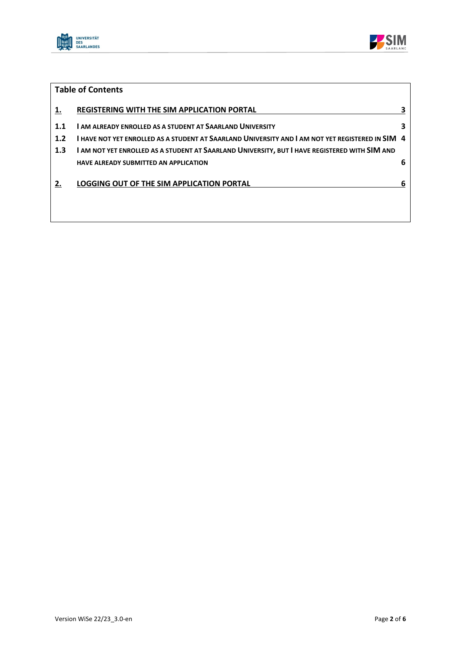



|           | <b>Table of Contents</b>                                        |  |
|-----------|-----------------------------------------------------------------|--|
| <u>1.</u> | <b>REGISTERING WITH THE SIM APPLICATION PORTAL</b>              |  |
| 1.1       | <b>LAM ALREADY ENROLLED AS A STUDENT AT SAARLAND UNIVERSITY</b> |  |

- **1.2 I [HAVE NOT YET ENROLLED AS A STUDENT AT SAARLAND UNIVERSITY AND I](#page-3-0) AM NOT YET REGISTERED IN SIM 4**
- **1.3 I AM NOT YET ENROLLED [AS A STUDENT AT SAARLAND UNIVERSITY,](#page-5-0) BUT I HAVE REGISTERED WITH SIM AND [HAVE ALREADY SUBMITTED AN APPLICATION](#page-5-0) 6**

#### **2. [LOGGING OUT OF THE SIM APPLICATION PORTAL](#page-5-1) 6**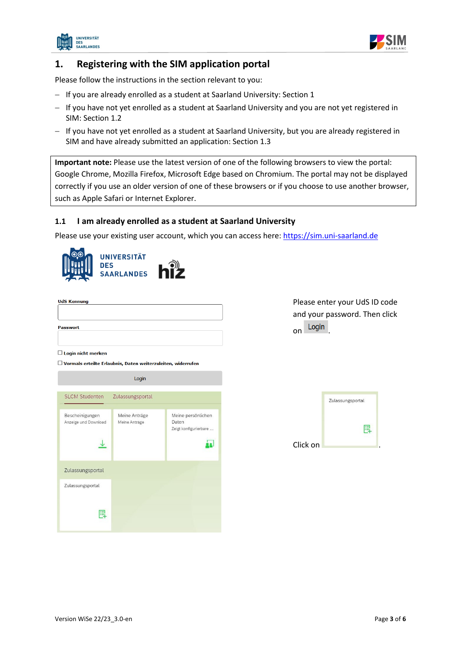



### <span id="page-2-0"></span>**1. Registering with the SIM application portal**

Please follow the instructions in the section relevant to you:

- − If you are already enrolled as a student at Saarland University: Section 1
- − If you have not yet enrolled as a student at Saarland University and you are not yet registered in SIM: Section [1.2](#page-2-2)
- − If you have not yet enrolled as a student at Saarland University, but you are already registered in SIM and have already submitted an application: Section [1.3](#page-5-0)

**Important note:** Please use the latest version of one of the following browsers to view the portal: Google Chrome, Mozilla Firefox, Microsoft Edge based on Chromium. The portal may not be displayed correctly if you use an older version of one of these browsers or if you choose to use another browser, such as Apple Safari or Internet Explorer.

#### <span id="page-2-1"></span>**1.1 I am already enrolled as a student at Saarland University**

Please use your existing user account, which you can access here: [https://sim.uni-saarland.de](https://sim.uni-saarland.de/)



| <b>Passwort</b> |  |  |
|-----------------|--|--|

#### $\Box$  Login nicht merken

 $\Box$  Vormals erteilte Erlaubnis. Daten weiterzuleiten, widerrufen

<span id="page-2-2"></span>Login **SLCM Studenten** Zulassungsportal Meine Anträge Meine persönlichen Bescheinigungen Daten Anzeige und Download Meine Anträge Zeigt konfigurierbare ...  $\downarrow$ às. Zulassungsportal Zulassungsportal 鳳

Please enter your UdS ID code and your password. Then click on Login

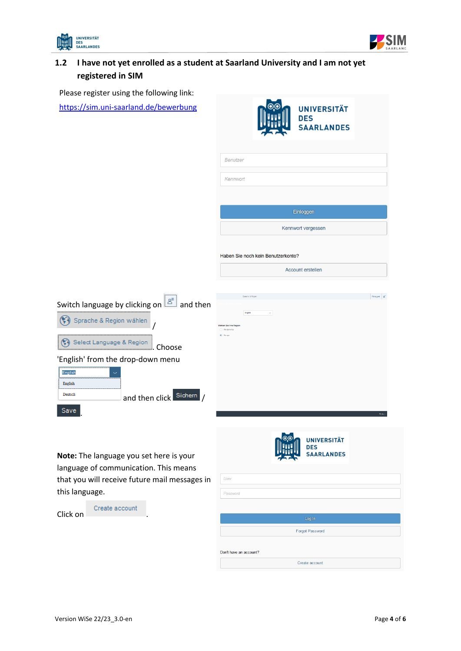



## <span id="page-3-0"></span>**1.2 I have not yet enrolled as a student at Saarland University and I am not yet registered in SIM**

Please register using the following link: https://sim.u

| <b>SAARLANDES</b>                                                                                     |
|-------------------------------------------------------------------------------------------------------|
| Benutzer                                                                                              |
| Kennwort                                                                                              |
| Einloggen                                                                                             |
| Kennwort vergessen                                                                                    |
| Haben Sie noch kein Benutzerkonto?                                                                    |
| Account erstellen                                                                                     |
| Eirlogen 8<br><b>Country &amp; Day</b><br>English                                                     |
|                                                                                                       |
| <b>UNIVERSITÄT</b><br><b>DES</b><br><b>SAARLANDES</b><br>User<br>Password                             |
| Switch language by clicking on $\mathbb{E}$ and then<br>that you will receive future mail messages in |

г

| Click on | Create account |  |
|----------|----------------|--|
|          |                |  |

|                        | Log In          |  |
|------------------------|-----------------|--|
|                        | Forgot Password |  |
| Don't have an account? |                 |  |
|                        | Create account  |  |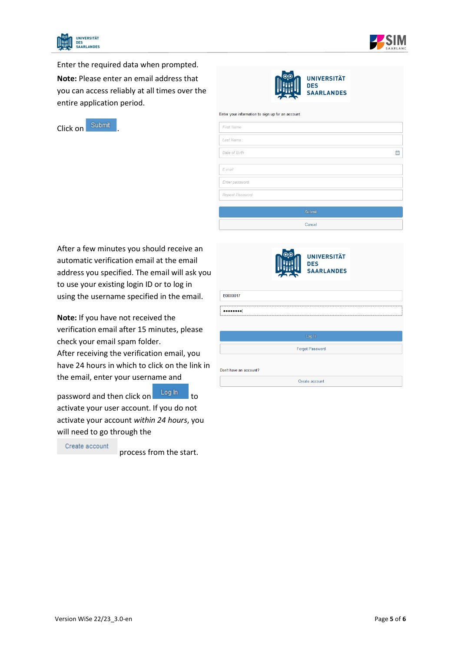



Enter the required data when prompted.

**Note:** Please enter an email address that you can access reliably at all times over the entire application period.





|  | Enter your information to sign up for an account |  |  |  |  |
|--|--------------------------------------------------|--|--|--|--|
|  |                                                  |  |  |  |  |

| First Name      |   |
|-----------------|---|
| Last Name       |   |
| Date of Birth   | 曲 |
|                 |   |
| E-mail          |   |
| Enter password  |   |
| Repeat Password |   |
|                 |   |
| Submit          |   |
| Cancel          |   |

After a few minutes you should receive an automatic verification email at the email address you specified. The email will ask you to use your existing login ID or to log in using the username specified in the email.

**Note:** If you have not received the verification email after 15 minutes, please check your email spam folder.

After receiving the verification email, you have 24 hours in which to click on the link in the email, enter your username and

password and then click on the to activate your user account. If you do not activate your account *within 24 hours*, you will need to go through the

Create account

process from the start.

 $\overline{D}$ 

|                                   |                                  | <b>UNIVERSITÄT</b><br><b>DES</b><br><b>SAARLANDES</b> |                                                                                     |
|-----------------------------------|----------------------------------|-------------------------------------------------------|-------------------------------------------------------------------------------------|
| B0000017                          |                                  |                                                       |                                                                                     |
| <br>----------------------------- | -------------------------------- |                                                       | ----------<br>-----------------------------------<br>------------------------------ |
|                                   |                                  | Log In                                                |                                                                                     |
|                                   |                                  | <b>Forgot Password</b>                                |                                                                                     |
| on't have an account?             |                                  |                                                       |                                                                                     |
|                                   |                                  | Create account                                        |                                                                                     |
|                                   |                                  |                                                       |                                                                                     |